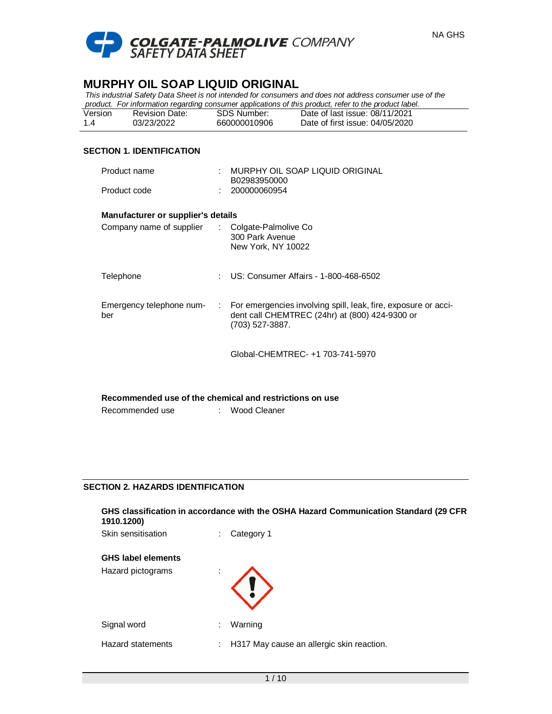

*This industrial Safety Data Sheet is not intended for consumers and does not address consumer use of the product. For information regarding consumer applications of this product, refer to the product label.*

| Version | Revision Date: | SDS Number:  | are the contract that the second contract of the contract of the contract of the contract of the contract of t<br>Date of last issue: 08/11/2021 |
|---------|----------------|--------------|--------------------------------------------------------------------------------------------------------------------------------------------------|
| 1.4     | 03/23/2022     | 660000010906 | Date of first issue: 04/05/2020                                                                                                                  |

# **SECTION 1. IDENTIFICATION**

| Product name                                            |    | MURPHY OIL SOAP LIQUID ORIGINAL<br>B02983950000                                                                                     |  |  |  |  |
|---------------------------------------------------------|----|-------------------------------------------------------------------------------------------------------------------------------------|--|--|--|--|
| Product code                                            |    | 200000060954                                                                                                                        |  |  |  |  |
| Manufacturer or supplier's details                      |    |                                                                                                                                     |  |  |  |  |
| Company name of supplier                                |    | : Colgate-Palmolive Co<br>300 Park Avenue<br>New York, NY 10022                                                                     |  |  |  |  |
| Telephone                                               | ÷. | US: Consumer Affairs - 1-800-468-6502                                                                                               |  |  |  |  |
| Emergency telephone num-<br>$\mathcal{L}$<br>ber        |    | For emergencies involving spill, leak, fire, exposure or acci-<br>dent call CHEMTREC (24hr) at (800) 424-9300 or<br>(703) 527-3887. |  |  |  |  |
|                                                         |    | Global-CHEMTREC- +1 703-741-5970                                                                                                    |  |  |  |  |
|                                                         |    |                                                                                                                                     |  |  |  |  |
| Recommended use of the chemical and restrictions on use |    |                                                                                                                                     |  |  |  |  |

| Recommended use | Wood Cleaner |
|-----------------|--------------|
|                 |              |

# **SECTION 2. HAZARDS IDENTIFICATION**

| GHS classification in accordance with the OSHA Hazard Communication Standard (29 CFR<br>1910.1200) |  |  |  |  |
|----------------------------------------------------------------------------------------------------|--|--|--|--|
|                                                                                                    |  |  |  |  |
|                                                                                                    |  |  |  |  |
|                                                                                                    |  |  |  |  |
|                                                                                                    |  |  |  |  |
|                                                                                                    |  |  |  |  |
|                                                                                                    |  |  |  |  |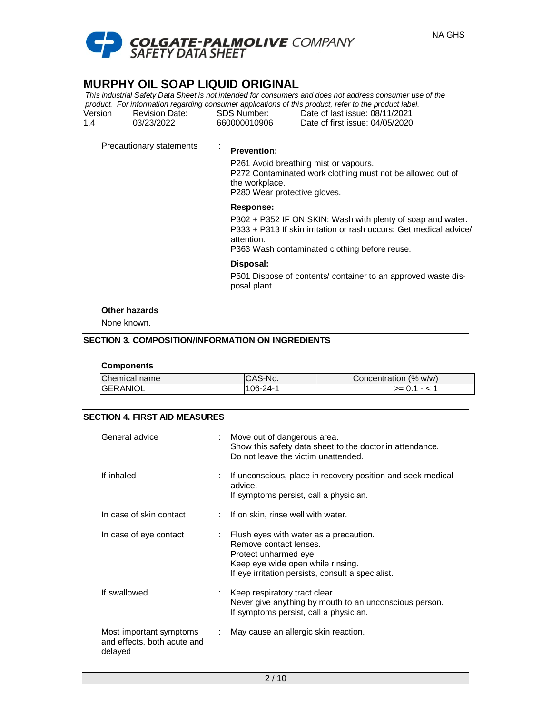

*This industrial Safety Data Sheet is not intended for consumers and does not address consumer use of the product. For information regarding consumer applications of this product, refer to the product label.*

| Version | <b>Revision Date:</b> | <b>SDS Number:</b> | Date of last issue: 08/11/2021  |
|---------|-----------------------|--------------------|---------------------------------|
|         | 03/23/2022            | 660000010906       | Date of first issue: 04/05/2020 |

Precautionary statements :

#### **Prevention:**

P261 Avoid breathing mist or vapours. P272 Contaminated work clothing must not be allowed out of the workplace. P280 Wear protective gloves.

#### **Response:**

P302 + P352 IF ON SKIN: Wash with plenty of soap and water. P333 + P313 If skin irritation or rash occurs: Get medical advice/ attention. P363 Wash contaminated clothing before reuse.

# **Disposal:**

P501 Dispose of contents/ container to an approved waste disposal plant.

#### **Other hazards**

None known.

#### **SECTION 3. COMPOSITION/INFORMATION ON INGREDIENTS**

#### **Components**

| Chemical name    | CAS-No.  | Concentration (% w/w) |
|------------------|----------|-----------------------|
| <b>IGERANIOL</b> | $06-24-$ | $>= 0.1 - <$          |

### **SECTION 4. FIRST AID MEASURES**

| General advice                                                    |    | Move out of dangerous area.<br>Show this safety data sheet to the doctor in attendance.<br>Do not leave the victim unattended.                                                      |
|-------------------------------------------------------------------|----|-------------------------------------------------------------------------------------------------------------------------------------------------------------------------------------|
| If inhaled                                                        |    | If unconscious, place in recovery position and seek medical<br>advice.<br>If symptoms persist, call a physician.                                                                    |
| In case of skin contact                                           |    | If on skin, rinse well with water.                                                                                                                                                  |
| In case of eye contact                                            | t. | Flush eyes with water as a precaution.<br>Remove contact lenses.<br>Protect unharmed eye.<br>Keep eye wide open while rinsing.<br>If eye irritation persists, consult a specialist. |
| If swallowed                                                      |    | Keep respiratory tract clear.<br>Never give anything by mouth to an unconscious person.<br>If symptoms persist, call a physician.                                                   |
| Most important symptoms<br>and effects, both acute and<br>delayed |    | May cause an allergic skin reaction.                                                                                                                                                |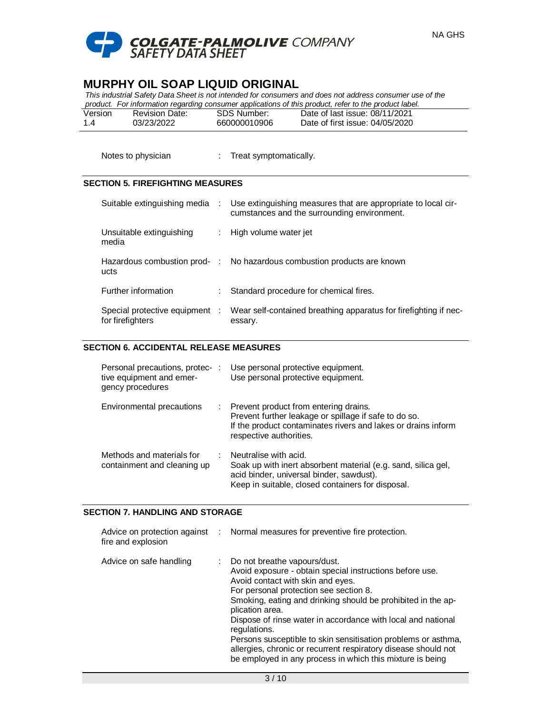

*This industrial Safety Data Sheet is not intended for consumers and does not address consumer use of the* 

|         |                |              | product. For information regarding consumer applications of this product, refer to the product label. |  |
|---------|----------------|--------------|-------------------------------------------------------------------------------------------------------|--|
| Version | Revision Date: | SDS Number:  | Date of last issue: 08/11/2021                                                                        |  |
| 14      | 03/23/2022     | 660000010906 | Date of first issue: 04/05/2020                                                                       |  |

Notes to physician : Treat symptomatically.

### **SECTION 5. FIREFIGHTING MEASURES**

| Suitable extinguishing media :                     | Use extinguishing measures that are appropriate to local cir-<br>cumstances and the surrounding environment. |
|----------------------------------------------------|--------------------------------------------------------------------------------------------------------------|
| Unsuitable extinguishing<br>media                  | : High volume water jet                                                                                      |
| ucts                                               | Hazardous combustion prod- : No hazardous combustion products are known                                      |
| Further information                                | Standard procedure for chemical fires.                                                                       |
| Special protective equipment :<br>for firefighters | Wear self-contained breathing apparatus for firefighting if nec-<br>essary.                                  |

### **SECTION 6. ACCIDENTAL RELEASE MEASURES**

| Personal precautions, protec-:<br>tive equipment and emer-<br>gency procedures |   | Use personal protective equipment.<br>Use personal protective equipment.                                                                                                                   |
|--------------------------------------------------------------------------------|---|--------------------------------------------------------------------------------------------------------------------------------------------------------------------------------------------|
| Environmental precautions                                                      | ÷ | Prevent product from entering drains.<br>Prevent further leakage or spillage if safe to do so.<br>If the product contaminates rivers and lakes or drains inform<br>respective authorities. |
| Methods and materials for<br>containment and cleaning up                       |   | Neutralise with acid.<br>Soak up with inert absorbent material (e.g. sand, silica gel,<br>acid binder, universal binder, sawdust).<br>Keep in suitable, closed containers for disposal.    |

#### **SECTION 7. HANDLING AND STORAGE**

| fire and explosion      | Advice on protection against : Normal measures for preventive fire protection.                                                                                                                                                                                                                                                                                                                                                                                                                                                               |
|-------------------------|----------------------------------------------------------------------------------------------------------------------------------------------------------------------------------------------------------------------------------------------------------------------------------------------------------------------------------------------------------------------------------------------------------------------------------------------------------------------------------------------------------------------------------------------|
| Advice on safe handling | : Do not breathe vapours/dust.<br>Avoid exposure - obtain special instructions before use.<br>Avoid contact with skin and eyes.<br>For personal protection see section 8.<br>Smoking, eating and drinking should be prohibited in the ap-<br>plication area.<br>Dispose of rinse water in accordance with local and national<br>regulations.<br>Persons susceptible to skin sensitisation problems or asthma,<br>allergies, chronic or recurrent respiratory disease should not<br>be employed in any process in which this mixture is being |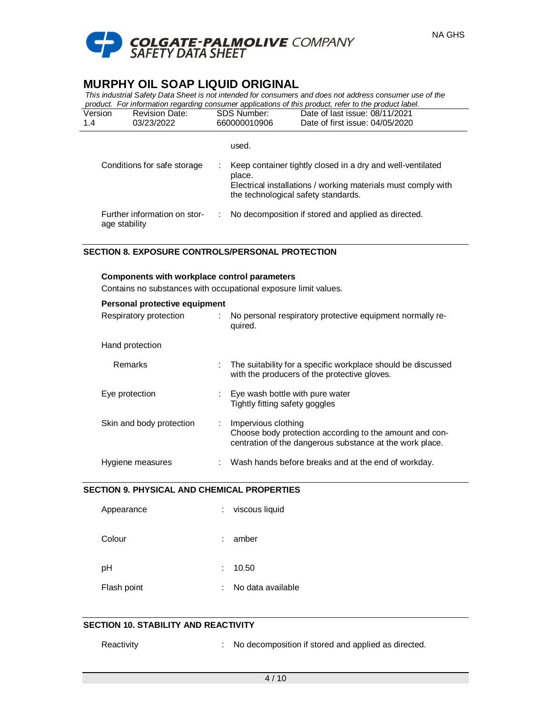

*This industrial Safety Data Sheet is not intended for consumers and does not address consumer use of the product. For information regarding consumer applications of this product, refer to the product label.*

| Version<br>1.4              | <b>Revision Date:</b><br>03/23/2022           | <b>SDS Number:</b><br>660000010906 | Date of last issue: 08/11/2021<br>Date of first issue: 04/05/2020                                                                                                  |
|-----------------------------|-----------------------------------------------|------------------------------------|--------------------------------------------------------------------------------------------------------------------------------------------------------------------|
|                             |                                               | used.                              |                                                                                                                                                                    |
| Conditions for safe storage |                                               | place.                             | Keep container tightly closed in a dry and well-ventilated<br>Electrical installations / working materials must comply with<br>the technological safety standards. |
|                             | Further information on stor-<br>age stability |                                    | No decomposition if stored and applied as directed.                                                                                                                |

# **SECTION 8. EXPOSURE CONTROLS/PERSONAL PROTECTION**

#### **Components with workplace control parameters**

Contains no substances with occupational exposure limit values.

| Personal protective equipment |    |                                                                                                                                            |  |  |  |
|-------------------------------|----|--------------------------------------------------------------------------------------------------------------------------------------------|--|--|--|
| Respiratory protection        | ÷. | No personal respiratory protective equipment normally re-<br>quired.                                                                       |  |  |  |
| Hand protection               |    |                                                                                                                                            |  |  |  |
| Remarks                       | ÷  | The suitability for a specific workplace should be discussed<br>with the producers of the protective gloves.                               |  |  |  |
| Eye protection                |    | Eye wash bottle with pure water<br>Tightly fitting safety goggles                                                                          |  |  |  |
| Skin and body protection      |    | Impervious clothing<br>Choose body protection according to the amount and con-<br>centration of the dangerous substance at the work place. |  |  |  |
| Hygiene measures              |    | Wash hands before breaks and at the end of workday.                                                                                        |  |  |  |

# **SECTION 9. PHYSICAL AND CHEMICAL PROPERTIES**

| Appearance  |    | viscous liquid    |
|-------------|----|-------------------|
| Colour      |    | amber             |
| рH          | t. | 10.50             |
| Flash point |    | No data available |

# **SECTION 10. STABILITY AND REACTIVITY**

Reactivity : No decomposition if stored and applied as directed.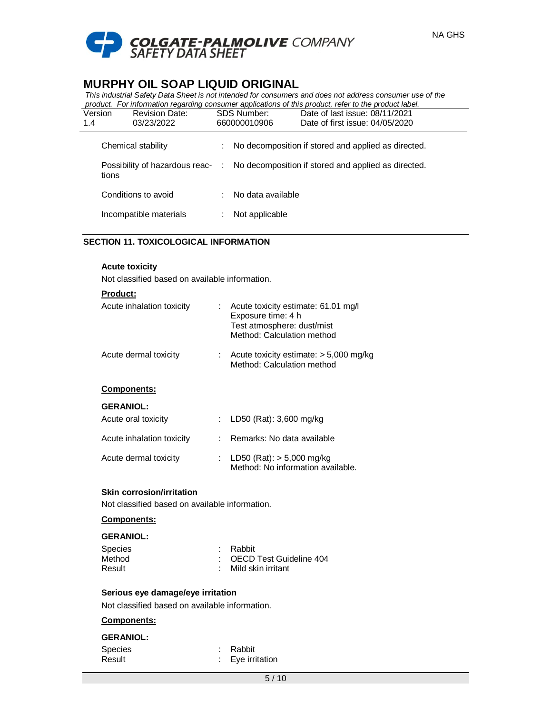

*This industrial Safety Data Sheet is not intended for consumers and does not address consumer use of the product. For information regarding consumer applications of this product, refer to the product label.*

| Version | <b>Revision Date:</b>                   | <b>SDS Number:</b> | Date of last issue: 08/11/2021                      |  |
|---------|-----------------------------------------|--------------------|-----------------------------------------------------|--|
| 1.4     | 03/23/2022                              | 660000010906       | Date of first issue: 04/05/2020                     |  |
|         | Chemical stability                      |                    | No decomposition if stored and applied as directed. |  |
|         | Possibility of hazardous reac-<br>tions | ÷.                 | No decomposition if stored and applied as directed. |  |
|         | Conditions to avoid                     |                    | No data available                                   |  |
|         | Incompatible materials                  |                    | Not applicable                                      |  |

# **SECTION 11. TOXICOLOGICAL INFORMATION**

#### **Acute toxicity**

Not classified based on available information.

## **Product:**

| Acute inhalation toxicity | Acute toxicity estimate: 61.01 mg/l<br>Exposure time: 4 h<br>Test atmosphere: dust/mist<br>Method: Calculation method |
|---------------------------|-----------------------------------------------------------------------------------------------------------------------|
| Acute dermal toxicity     | Acute toxicity estimate: $> 5,000$ mg/kg<br>Method: Calculation method                                                |
| <b>Components:</b>        |                                                                                                                       |
| <b>GERANIOL:</b>          |                                                                                                                       |
| Acute oral toxicity       | LD50 (Rat): 3,600 mg/kg                                                                                               |
| Acute inhalation toxicity | Remarks: No data available                                                                                            |
| Acute dermal toxicity     | LD50 (Rat): $> 5,000$ mg/kg                                                                                           |

#### **Skin corrosion/irritation**

Not classified based on available information.

#### **Components:**

#### **GERANIOL:**

| Species | : Rabbit                  |
|---------|---------------------------|
| Method  | : OECD Test Guideline 404 |
| Result  | : Mild skin irritant      |

#### **Serious eye damage/eye irritation**

Not classified based on available information.

# **Components:**

#### **GERANIOL:**

| Species | : Rabbit                    |
|---------|-----------------------------|
| Result  | $\therefore$ Eye irritation |

Method: No information available.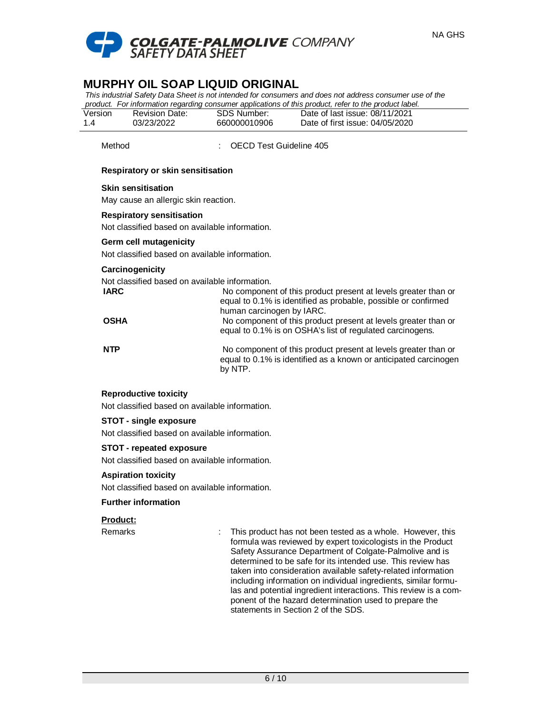

*This industrial Safety Data Sheet is not intended for consumers and does not address consumer use of the product. For information regarding consumer applications of this product, refer to the product label.*

|         |                |              | product. The implifience regarding consumer applications or this product, refer to the product label. |  |
|---------|----------------|--------------|-------------------------------------------------------------------------------------------------------|--|
| Version | Revision Date: | SDS Number:  | Date of last issue: 08/11/2021                                                                        |  |
| 1.4     | 03/23/2022     | 660000010906 | Date of first issue: 04/05/2020                                                                       |  |

Method : OECD Test Guideline 405

### **Respiratory or skin sensitisation**

#### **Skin sensitisation**

May cause an allergic skin reaction.

### **Respiratory sensitisation**

Not classified based on available information.

### **Germ cell mutagenicity**

Not classified based on available information.

#### **Carcinogenicity**

Not classified based on available information.

| IARC | No component of this product present at levels greater than or<br>equal to 0.1% is identified as probable, possible or confirmed<br>human carcinogen by IARC. |
|------|---------------------------------------------------------------------------------------------------------------------------------------------------------------|
| OSHA | No component of this product present at levels greater than or<br>equal to 0.1% is on OSHA's list of regulated carcinogens.                                   |
| NTP  | No component of this product present at levels greater than or<br>equal to 0.1% is identified as a known or anticipated carcinogen<br>by NTP.                 |

## **Reproductive toxicity**

Not classified based on available information.

#### **STOT - single exposure**

Not classified based on available information.

#### **STOT - repeated exposure**

Not classified based on available information.

#### **Aspiration toxicity**

Not classified based on available information.

#### **Further information**

## **Product:**

Remarks **EXECUTE:** This product has not been tested as a whole. However, this formula was reviewed by expert toxicologists in the Product Safety Assurance Department of Colgate-Palmolive and is determined to be safe for its intended use. This review has taken into consideration available safety-related information including information on individual ingredients, similar formulas and potential ingredient interactions. This review is a component of the hazard determination used to prepare the statements in Section 2 of the SDS.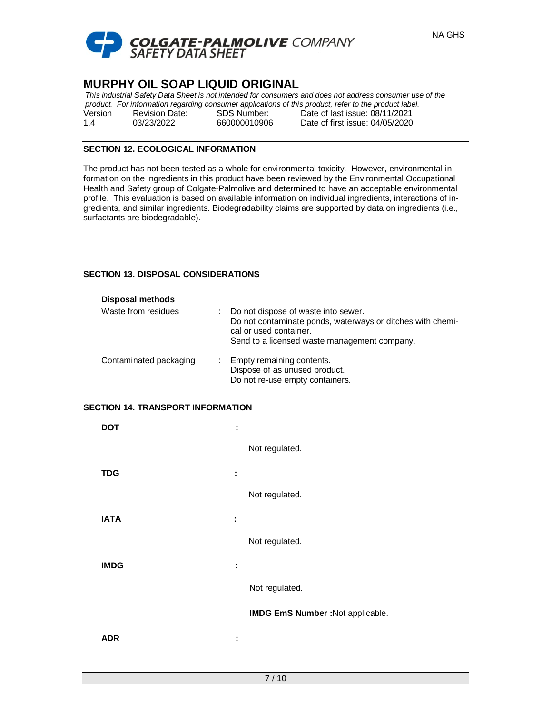

| This industrial Safety Data Sheet is not intended for consumers and does not address consumer use of the |  |                                 |  |  |  |  |
|----------------------------------------------------------------------------------------------------------|--|---------------------------------|--|--|--|--|
| product. For information regarding consumer applications of this product, refer to the product label.    |  |                                 |  |  |  |  |
| Revision Date:                                                                                           |  | Date of last issue: 08/11/2021  |  |  |  |  |
| 03/23/2022                                                                                               |  | Date of first issue: 04/05/2020 |  |  |  |  |
|                                                                                                          |  | SDS Number:<br>660000010906     |  |  |  |  |

### **SECTION 12. ECOLOGICAL INFORMATION**

The product has not been tested as a whole for environmental toxicity. However, environmental information on the ingredients in this product have been reviewed by the Environmental Occupational Health and Safety group of Colgate-Palmolive and determined to have an acceptable environmental profile. This evaluation is based on available information on individual ingredients, interactions of ingredients, and similar ingredients. Biodegradability claims are supported by data on ingredients (i.e., surfactants are biodegradable).

### **SECTION 13. DISPOSAL CONSIDERATIONS**

| <b>Disposal methods</b> |    |                                                                                                                                                                             |
|-------------------------|----|-----------------------------------------------------------------------------------------------------------------------------------------------------------------------------|
| Waste from residues     |    | Do not dispose of waste into sewer.<br>Do not contaminate ponds, waterways or ditches with chemi-<br>cal or used container.<br>Send to a licensed waste management company. |
| Contaminated packaging  | ÷. | Empty remaining contents.<br>Dispose of as unused product.<br>Do not re-use empty containers.                                                                               |

#### **SECTION 14. TRANSPORT INFORMATION**

| <b>DOT</b>  | ÷                                 |
|-------------|-----------------------------------|
|             | Not regulated.                    |
| <b>TDG</b>  | ÷                                 |
|             | Not regulated.                    |
| <b>IATA</b> | ÷                                 |
|             | Not regulated.                    |
| <b>IMDG</b> | ÷                                 |
|             | Not regulated.                    |
|             | IMDG EmS Number : Not applicable. |
| <b>ADR</b>  | ÷                                 |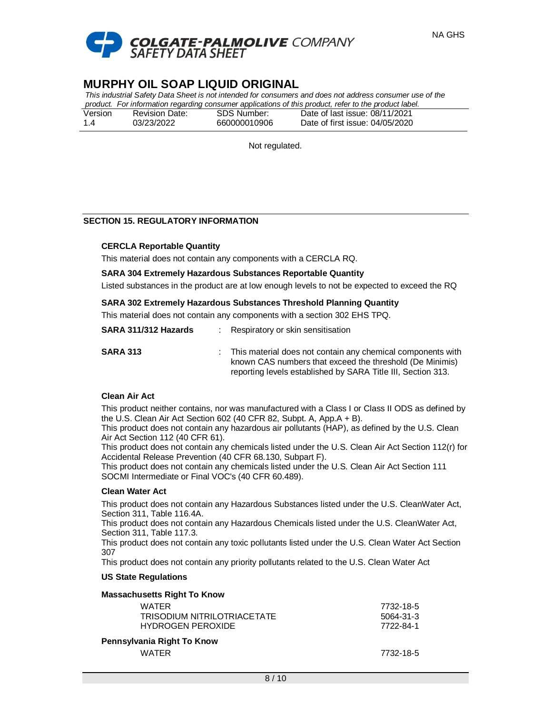

*This industrial Safety Data Sheet is not intended for consumers and does not address consumer use of the product. For information regarding consumer applications of this product, refer to the product label.*

|         |                       |              | product. The implification regarding consumer applications of this product, refer to the product label. |  |
|---------|-----------------------|--------------|---------------------------------------------------------------------------------------------------------|--|
| Version | <b>Revision Date:</b> | SDS Number:  | Date of last issue: 08/11/2021                                                                          |  |
| 1.4     | 03/23/2022            | 660000010906 | Date of first issue: 04/05/2020                                                                         |  |

Not regulated.

## **SECTION 15. REGULATORY INFORMATION**

#### **CERCLA Reportable Quantity**

This material does not contain any components with a CERCLA RQ.

#### **SARA 304 Extremely Hazardous Substances Reportable Quantity**

Listed substances in the product are at low enough levels to not be expected to exceed the RQ

### **SARA 302 Extremely Hazardous Substances Threshold Planning Quantity**

This material does not contain any components with a section 302 EHS TPQ.

| SARA 311/312 Hazards | Respiratory or skin sensitisation |
|----------------------|-----------------------------------|
|                      |                                   |

**SARA 313** : This material does not contain any chemical components with known CAS numbers that exceed the threshold (De Minimis) reporting levels established by SARA Title III, Section 313.

## **Clean Air Act**

This product neither contains, nor was manufactured with a Class I or Class II ODS as defined by the U.S. Clean Air Act Section 602 (40 CFR 82, Subpt. A, App.A + B).

This product does not contain any hazardous air pollutants (HAP), as defined by the U.S. Clean Air Act Section 112 (40 CFR 61).

This product does not contain any chemicals listed under the U.S. Clean Air Act Section 112(r) for Accidental Release Prevention (40 CFR 68.130, Subpart F).

This product does not contain any chemicals listed under the U.S. Clean Air Act Section 111 SOCMI Intermediate or Final VOC's (40 CFR 60.489).

#### **Clean Water Act**

This product does not contain any Hazardous Substances listed under the U.S. CleanWater Act, Section 311, Table 116.4A.

This product does not contain any Hazardous Chemicals listed under the U.S. CleanWater Act, Section 311, Table 117.3.

This product does not contain any toxic pollutants listed under the U.S. Clean Water Act Section 307

> WATER 7732-18-5 5064-31-3 7722-84-1

This product does not contain any priority pollutants related to the U.S. Clean Water Act

#### **US State Regulations**

| Massachusetts Right To Know |  |
|-----------------------------|--|
| <b>WATER</b>                |  |
| TRISODIUM NITRILOTRIACETATE |  |
| <b>HYDROGEN PEROXIDE</b>    |  |
| Pennsylvania Right To Know  |  |

WATER 27732-18-5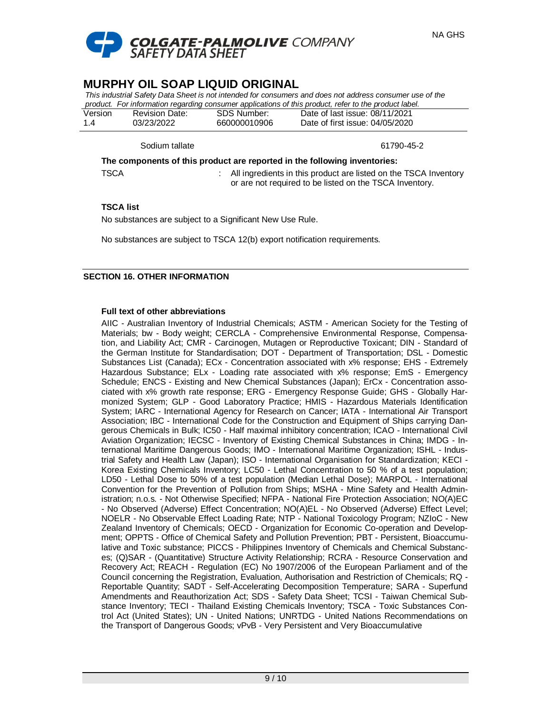

| This industrial Safety Data Sheet is not intended for consumers and does not address consumer use of the |                |              |                                 |  |  |
|----------------------------------------------------------------------------------------------------------|----------------|--------------|---------------------------------|--|--|
| product. For information regarding consumer applications of this product, refer to the product label.    |                |              |                                 |  |  |
| Version                                                                                                  | Revision Date: | SDS Number:  | Date of last issue: 08/11/2021  |  |  |
| 1.4                                                                                                      | 03/23/2022     | 660000010906 | Date of first issue: 04/05/2020 |  |  |
|                                                                                                          |                |              |                                 |  |  |

Sodium tallate 61790-45-2

**The components of this product are reported in the following inventories:**

TSCA : All ingredients in this product are listed on the TSCA Inventory or are not required to be listed on the TSCA Inventory.

## **TSCA list**

No substances are subject to a Significant New Use Rule.

No substances are subject to TSCA 12(b) export notification requirements.

## **SECTION 16. OTHER INFORMATION**

## **Full text of other abbreviations**

AIIC - Australian Inventory of Industrial Chemicals; ASTM - American Society for the Testing of Materials; bw - Body weight; CERCLA - Comprehensive Environmental Response, Compensation, and Liability Act; CMR - Carcinogen, Mutagen or Reproductive Toxicant; DIN - Standard of the German Institute for Standardisation; DOT - Department of Transportation; DSL - Domestic Substances List (Canada); ECx - Concentration associated with x% response; EHS - Extremely Hazardous Substance; ELx - Loading rate associated with x% response; EmS - Emergency Schedule; ENCS - Existing and New Chemical Substances (Japan); ErCx - Concentration associated with x% growth rate response; ERG - Emergency Response Guide; GHS - Globally Harmonized System; GLP - Good Laboratory Practice; HMIS - Hazardous Materials Identification System; IARC - International Agency for Research on Cancer; IATA - International Air Transport Association; IBC - International Code for the Construction and Equipment of Ships carrying Dangerous Chemicals in Bulk; IC50 - Half maximal inhibitory concentration; ICAO - International Civil Aviation Organization; IECSC - Inventory of Existing Chemical Substances in China; IMDG - International Maritime Dangerous Goods; IMO - International Maritime Organization; ISHL - Industrial Safety and Health Law (Japan); ISO - International Organisation for Standardization; KECI - Korea Existing Chemicals Inventory; LC50 - Lethal Concentration to 50 % of a test population; LD50 - Lethal Dose to 50% of a test population (Median Lethal Dose); MARPOL - International Convention for the Prevention of Pollution from Ships; MSHA - Mine Safety and Health Administration; n.o.s. - Not Otherwise Specified; NFPA - National Fire Protection Association; NO(A)EC - No Observed (Adverse) Effect Concentration; NO(A)EL - No Observed (Adverse) Effect Level; NOELR - No Observable Effect Loading Rate; NTP - National Toxicology Program; NZIoC - New Zealand Inventory of Chemicals; OECD - Organization for Economic Co-operation and Development; OPPTS - Office of Chemical Safety and Pollution Prevention; PBT - Persistent, Bioaccumulative and Toxic substance; PICCS - Philippines Inventory of Chemicals and Chemical Substances; (Q)SAR - (Quantitative) Structure Activity Relationship; RCRA - Resource Conservation and Recovery Act; REACH - Regulation (EC) No 1907/2006 of the European Parliament and of the Council concerning the Registration, Evaluation, Authorisation and Restriction of Chemicals; RQ - Reportable Quantity; SADT - Self-Accelerating Decomposition Temperature; SARA - Superfund Amendments and Reauthorization Act; SDS - Safety Data Sheet; TCSI - Taiwan Chemical Substance Inventory; TECI - Thailand Existing Chemicals Inventory; TSCA - Toxic Substances Control Act (United States); UN - United Nations; UNRTDG - United Nations Recommendations on the Transport of Dangerous Goods; vPvB - Very Persistent and Very Bioaccumulative